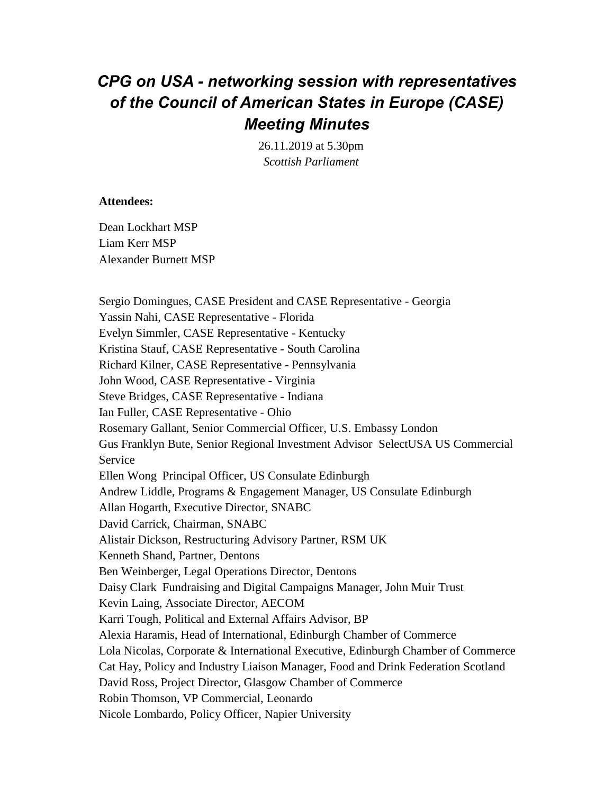# *CPG on USA - networking session with representatives of the Council of American States in Europe (CASE) Meeting Minutes*

26.11.2019 at 5.30pm *Scottish Parliament*

### **Attendees:**

Dean Lockhart MSP Liam Kerr MSP Alexander Burnett MSP

Sergio Domingues, CASE President and CASE Representative - Georgia Yassin Nahi, CASE Representative - Florida Evelyn Simmler, CASE Representative - Kentucky Kristina Stauf, CASE Representative - South Carolina Richard Kilner, CASE Representative - Pennsylvania John Wood, CASE Representative - Virginia Steve Bridges, CASE Representative - Indiana Ian Fuller, CASE Representative - Ohio Rosemary Gallant, Senior Commercial Officer, U.S. Embassy London Gus Franklyn Bute, Senior Regional Investment Advisor SelectUSA US Commercial Service Ellen Wong Principal Officer, US Consulate Edinburgh Andrew Liddle, Programs & Engagement Manager, US Consulate Edinburgh Allan Hogarth, Executive Director, SNABC David Carrick, Chairman, SNABC Alistair Dickson, Restructuring Advisory Partner, RSM UK Kenneth Shand, Partner, Dentons Ben Weinberger, Legal Operations Director, Dentons Daisy Clark Fundraising and Digital Campaigns Manager, John Muir Trust Kevin Laing, Associate Director, AECOM Karri Tough, Political and External Affairs Advisor, BP Alexia Haramis, Head of International, Edinburgh Chamber of Commerce Lola Nicolas, Corporate & International Executive, Edinburgh Chamber of Commerce Cat Hay, Policy and Industry Liaison Manager, Food and Drink Federation Scotland David Ross, Project Director, Glasgow Chamber of Commerce Robin Thomson, VP Commercial, Leonardo Nicole Lombardo, Policy Officer, Napier University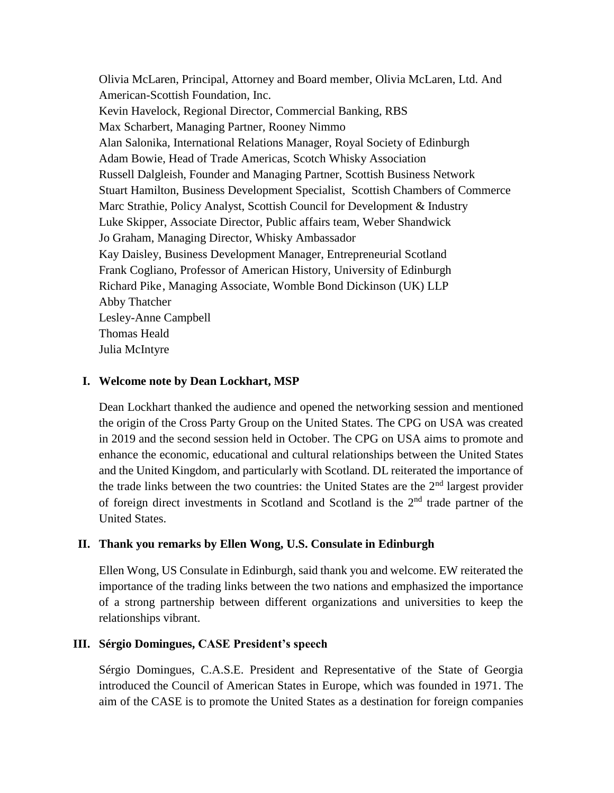Olivia McLaren, Principal, Attorney and Board member, Olivia McLaren, Ltd. And American-Scottish Foundation, Inc. Kevin Havelock, Regional Director, Commercial Banking, RBS Max Scharbert, Managing Partner, Rooney Nimmo Alan Salonika, International Relations Manager, Royal Society of Edinburgh Adam Bowie, Head of Trade Americas, Scotch Whisky Association Russell Dalgleish, Founder and Managing Partner, Scottish Business Network Stuart Hamilton, Business Development Specialist, Scottish Chambers of Commerce Marc Strathie, Policy Analyst, Scottish Council for Development & Industry Luke Skipper, Associate Director, Public affairs team, Weber Shandwick Jo Graham, Managing Director, Whisky Ambassador Kay Daisley, Business Development Manager, Entrepreneurial Scotland Frank Cogliano, Professor of American History, University of Edinburgh Richard Pike, Managing Associate, Womble Bond Dickinson (UK) LLP Abby Thatcher Lesley-Anne Campbell Thomas Heald Julia McIntyre

### **I. Welcome note by Dean Lockhart, MSP**

Dean Lockhart thanked the audience and opened the networking session and mentioned the origin of the Cross Party Group on the United States. The CPG on USA was created in 2019 and the second session held in October. The CPG on USA aims to promote and enhance the economic, educational and cultural relationships between the United States and the United Kingdom, and particularly with Scotland. DL reiterated the importance of the trade links between the two countries: the United States are the  $2<sup>nd</sup>$  largest provider of foreign direct investments in Scotland and Scotland is the  $2<sup>nd</sup>$  trade partner of the United States.

### **II. Thank you remarks by Ellen Wong, U.S. Consulate in Edinburgh**

Ellen Wong, US Consulate in Edinburgh, said thank you and welcome. EW reiterated the importance of the trading links between the two nations and emphasized the importance of a strong partnership between different organizations and universities to keep the relationships vibrant.

### **III. Sérgio Domingues, CASE President's speech**

Sérgio Domingues, C.A.S.E. President and Representative of the State of Georgia introduced the Council of American States in Europe, which was founded in 1971. The aim of the CASE is to promote the United States as a destination for foreign companies